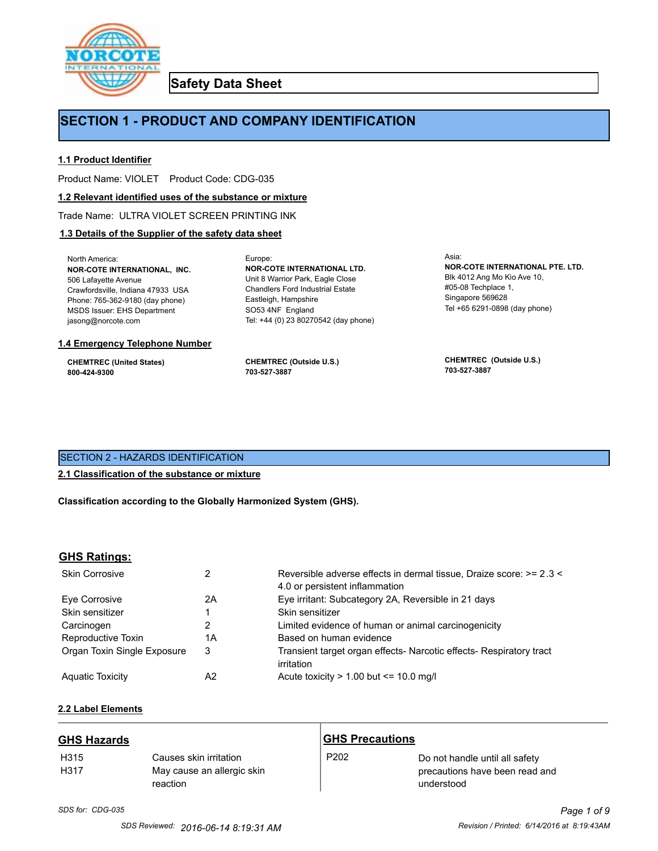

**Safety Data Sheet**

# **SECTION 1 - PRODUCT AND COMPANY IDENTIFICATION**

Europe:

# **1.1 Product Identifier**

Product Name: VIOLET Product Code: CDG-035

#### **1.2 Relevant identified uses of the substance or mixture**

Trade Name: ULTRA VIOLET SCREEN PRINTING INK

# **1.3 Details of the Supplier of the safety data sheet**

North America: **NOR-COTE INTERNATIONAL, INC.** 506 Lafayette Avenue Crawfordsville, Indiana 47933 USA Phone: 765-362-9180 (day phone) MSDS Issuer: EHS Department jasong@norcote.com

#### **1.4 Emergency Telephone Number**

**CHEMTREC (United States) 800-424-9300**

**CHEMTREC (Outside U.S.) 703-527-3887**

Eastleigh, Hampshire SO53 4NF England

**NOR-COTE INTERNATIONAL LTD.** Unit 8 Warrior Park, Eagle Close Chandlers Ford Industrial Estate

Tel: +44 (0) 23 80270542 (day phone)

Asia: **NOR-COTE INTERNATIONAL PTE. LTD.** Blk 4012 Ang Mo Kio Ave 10, #05-08 Techplace 1, Singapore 569628 Tel +65 6291-0898 (day phone)

**CHEMTREC (Outside U.S.) 703-527-3887**

# SECTION 2 - HAZARDS IDENTIFICATION

# **2.1 Classification of the substance or mixture**

**Classification according to the Globally Harmonized System (GHS).**

# **GHS Ratings:**

| <b>Skin Corrosive</b>       | 2  | Reversible adverse effects in dermal tissue, Draize score: >= 2.3 <<br>4.0 or persistent inflammation |
|-----------------------------|----|-------------------------------------------------------------------------------------------------------|
| Eve Corrosive               | 2A | Eye irritant: Subcategory 2A, Reversible in 21 days                                                   |
| Skin sensitizer             |    | Skin sensitizer                                                                                       |
| Carcinogen                  |    | Limited evidence of human or animal carcinogenicity                                                   |
| Reproductive Toxin          | 1A | Based on human evidence                                                                               |
| Organ Toxin Single Exposure | 3  | Transient target organ effects- Narcotic effects- Respiratory tract<br>irritation                     |
| <b>Aguatic Toxicity</b>     | A2 | Acute toxicity $> 1.00$ but $\leq 10.0$ mg/l                                                          |

# **2.2 Label Elements**

| <b>GHS Hazards</b>       |                                                                  | <b>GHS Precautions</b> |                                                                                |
|--------------------------|------------------------------------------------------------------|------------------------|--------------------------------------------------------------------------------|
| H <sub>315</sub><br>H317 | Causes skin irritation<br>May cause an allergic skin<br>reaction | P <sub>202</sub>       | Do not handle until all safety<br>precautions have been read and<br>understood |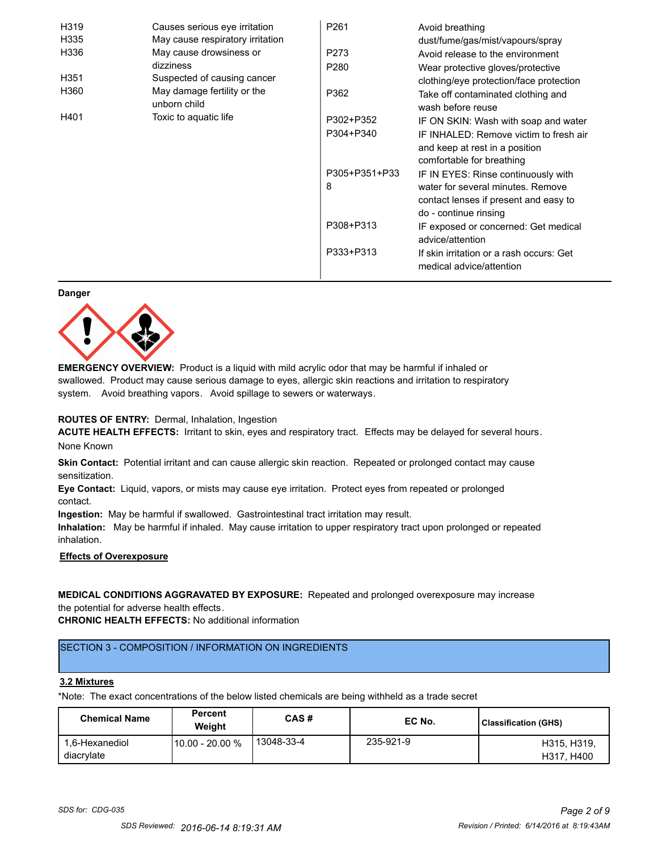| H319             | Causes serious eye irritation               | P <sub>261</sub> | Avoid breathing                                                            |
|------------------|---------------------------------------------|------------------|----------------------------------------------------------------------------|
| H335             | May cause respiratory irritation            |                  | dust/fume/gas/mist/vapours/spray                                           |
| H336             | May cause drowsiness or                     | P273             | Avoid release to the environment                                           |
|                  | dizziness                                   | P <sub>280</sub> | Wear protective gloves/protective                                          |
| H <sub>351</sub> | Suspected of causing cancer                 |                  | clothing/eye protection/face protection                                    |
| H360             | May damage fertility or the<br>unborn child | P362             | Take off contaminated clothing and<br>wash before reuse                    |
| H401             | Toxic to aquatic life                       | P302+P352        | IF ON SKIN: Wash with soap and water                                       |
|                  |                                             | P304+P340        | IF INHALED: Remove victim to fresh air<br>and keep at rest in a position   |
|                  |                                             | P305+P351+P33    | comfortable for breathing                                                  |
|                  |                                             | 8                | IF IN EYES: Rinse continuously with                                        |
|                  |                                             |                  | water for several minutes. Remove<br>contact lenses if present and easy to |
|                  |                                             |                  | do - continue rinsing                                                      |
|                  |                                             | P308+P313        | IF exposed or concerned: Get medical<br>advice/attention                   |
|                  |                                             | P333+P313        | If skin irritation or a rash occurs: Get<br>medical advice/attention       |

#### **Danger**



**EMERGENCY OVERVIEW:** Product is a liquid with mild acrylic odor that may be harmful if inhaled or swallowed. Product may cause serious damage to eyes, allergic skin reactions and irritation to respiratory system. Avoid breathing vapors. Avoid spillage to sewers or waterways.

# **ROUTES OF ENTRY:** Dermal, Inhalation, Ingestion

**ACUTE HEALTH EFFECTS:** Irritant to skin, eyes and respiratory tract. Effects may be delayed for several hours. None Known

**Skin Contact:** Potential irritant and can cause allergic skin reaction. Repeated or prolonged contact may cause sensitization.

**Eye Contact:** Liquid, vapors, or mists may cause eye irritation. Protect eyes from repeated or prolonged contact.

**Ingestion:** May be harmful if swallowed. Gastrointestinal tract irritation may result.

**Inhalation:** May be harmful if inhaled. May cause irritation to upper respiratory tract upon prolonged or repeated inhalation.

# **Effects of Overexposure**

# **MEDICAL CONDITIONS AGGRAVATED BY EXPOSURE:** Repeated and prolonged overexposure may increase the potential for adverse health effects.

**CHRONIC HEALTH EFFECTS:** No additional information

# SECTION 3 - COMPOSITION / INFORMATION ON INGREDIENTS

#### **3.2 Mixtures**

\*Note: The exact concentrations of the below listed chemicals are being withheld as a trade secret

| <b>Chemical Name</b>         | <b>Percent</b><br>Weiaht | CAS#       | EC No.    | <b>Classification (GHS)</b> |
|------------------------------|--------------------------|------------|-----------|-----------------------------|
| 1.6-Hexanediol<br>diacrylate | 10.00 - 20.00 %          | 13048-33-4 | 235-921-9 | H315, H319,<br>H317, H400   |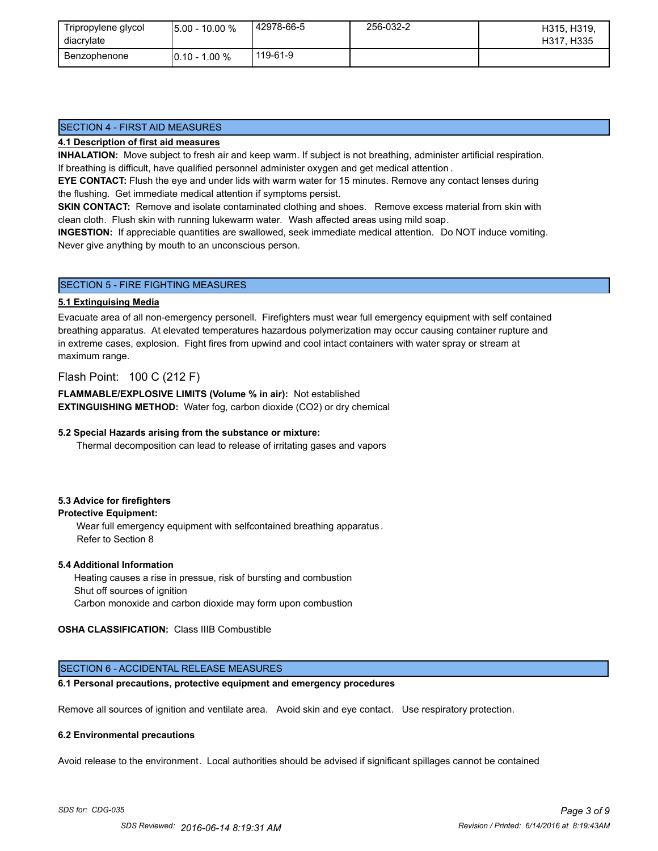| Tripropylene glycol<br>diacrylate | $15.00 - 10.00 %$ | 42978-66-5 | 256-032-2 | H315, H319,<br>H317, H335 |
|-----------------------------------|-------------------|------------|-----------|---------------------------|
| Benzophenone                      | $10.10 - 1.00 \%$ | 119-61-9   |           |                           |

# SECTION 4 - FIRST AID MEASURES

# **4.1 Description of first aid measures**

**INHALATION:** Move subject to fresh air and keep warm. If subject is not breathing, administer artificial respiration. If breathing is difficult, have qualified personnel administer oxygen and get medical attention .

**EYE CONTACT:** Flush the eye and under lids with warm water for 15 minutes. Remove any contact lenses during the flushing. Get immediate medical attention if symptoms persist.

**SKIN CONTACT:** Remove and isolate contaminated clothing and shoes. Remove excess material from skin with clean cloth. Flush skin with running lukewarm water. Wash affected areas using mild soap.

**INGESTION:** If appreciable quantities are swallowed, seek immediate medical attention. Do NOT induce vomiting. Never give anything by mouth to an unconscious person.

# SECTION 5 - FIRE FIGHTING MEASURES

# **5.1 Extinguising Media**

Evacuate area of all non-emergency personell. Firefighters must wear full emergency equipment with self contained breathing apparatus. At elevated temperatures hazardous polymerization may occur causing container rupture and in extreme cases, explosion. Fight fires from upwind and cool intact containers with water spray or stream at maximum range.

# Flash Point: 100 C (212 F)

**FLAMMABLE/EXPLOSIVE LIMITS (Volume % in air):** Not established **EXTINGUISHING METHOD:** Water fog, carbon dioxide (CO2) or dry chemical

# **5.2 Special Hazards arising from the substance or mixture:**

Thermal decomposition can lead to release of irritating gases and vapors

# **5.3 Advice for firefighters**

# **Protective Equipment:**

Wear full emergency equipment with selfcontained breathing apparatus . Refer to Section 8

#### **5.4 Additional Information**

 Heating causes a rise in pressue, risk of bursting and combustion Shut off sources of ignition Carbon monoxide and carbon dioxide may form upon combustion

# **OSHA CLASSIFICATION:** Class IIIB Combustible

# SECTION 6 - ACCIDENTAL RELEASE MEASURES

# **6.1 Personal precautions, protective equipment and emergency procedures**

Remove all sources of ignition and ventilate area. Avoid skin and eye contact. Use respiratory protection.

#### **6.2 Environmental precautions**

Avoid release to the environment. Local authorities should be advised if significant spillages cannot be contained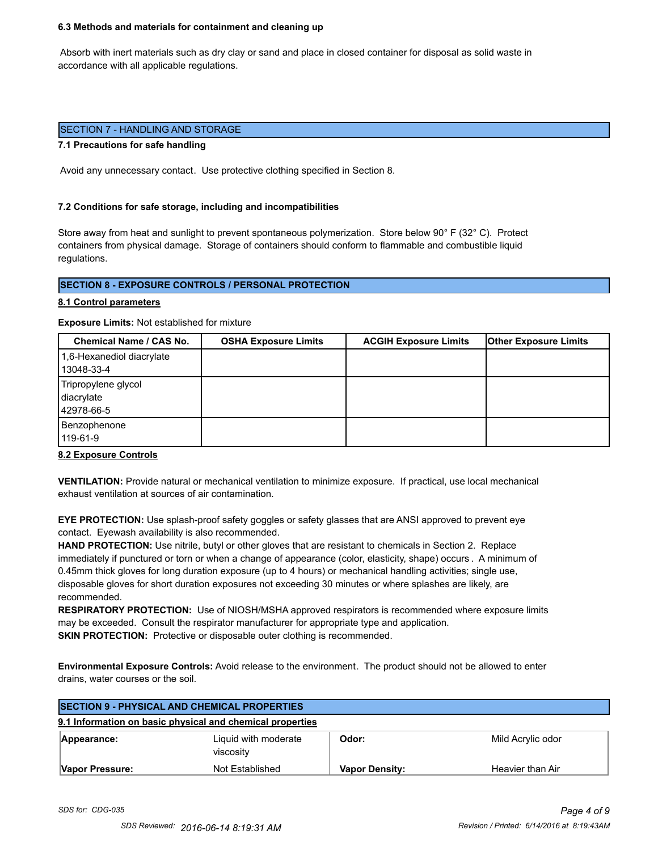#### **6.3 Methods and materials for containment and cleaning up**

 Absorb with inert materials such as dry clay or sand and place in closed container for disposal as solid waste in accordance with all applicable regulations.

# SECTION 7 - HANDLING AND STORAGE

#### **7.1 Precautions for safe handling**

Avoid any unnecessary contact. Use protective clothing specified in Section 8.

#### **7.2 Conditions for safe storage, including and incompatibilities**

Store away from heat and sunlight to prevent spontaneous polymerization. Store below 90° F (32° C). Protect containers from physical damage. Storage of containers should conform to flammable and combustible liquid regulations.

# **SECTION 8 - EXPOSURE CONTROLS / PERSONAL PROTECTION**

#### **8.1 Control parameters**

**Exposure Limits:** Not established for mixture

| Chemical Name / CAS No.                         | <b>OSHA Exposure Limits</b> | <b>ACGIH Exposure Limits</b> | <b>Other Exposure Limits</b> |
|-------------------------------------------------|-----------------------------|------------------------------|------------------------------|
| 1,6-Hexanediol diacrylate<br>13048-33-4         |                             |                              |                              |
| Tripropylene glycol<br>diacrylate<br>42978-66-5 |                             |                              |                              |
| Benzophenone<br>119-61-9                        |                             |                              |                              |

#### **8.2 Exposure Controls**

**VENTILATION:** Provide natural or mechanical ventilation to minimize exposure. If practical, use local mechanical exhaust ventilation at sources of air contamination.

**EYE PROTECTION:** Use splash-proof safety goggles or safety glasses that are ANSI approved to prevent eye contact. Eyewash availability is also recommended.

**HAND PROTECTION:** Use nitrile, butyl or other gloves that are resistant to chemicals in Section 2. Replace immediately if punctured or torn or when a change of appearance (color, elasticity, shape) occurs . A minimum of 0.45mm thick gloves for long duration exposure (up to 4 hours) or mechanical handling activities; single use, disposable gloves for short duration exposures not exceeding 30 minutes or where splashes are likely, are recommended.

**RESPIRATORY PROTECTION:** Use of NIOSH/MSHA approved respirators is recommended where exposure limits may be exceeded. Consult the respirator manufacturer for appropriate type and application. **SKIN PROTECTION:** Protective or disposable outer clothing is recommended.

**Environmental Exposure Controls:** Avoid release to the environment. The product should not be allowed to enter drains, water courses or the soil.

| <b>SECTION 9 - PHYSICAL AND CHEMICAL PROPERTIES</b> |                                                           |                       |                   |
|-----------------------------------------------------|-----------------------------------------------------------|-----------------------|-------------------|
|                                                     | 9.1 Information on basic physical and chemical properties |                       |                   |
| Appearance:                                         | Liquid with moderate<br>viscosity                         | Odor:                 | Mild Acrylic odor |
| Vapor Pressure:                                     | Not Established                                           | <b>Vapor Density:</b> | Heavier than Air  |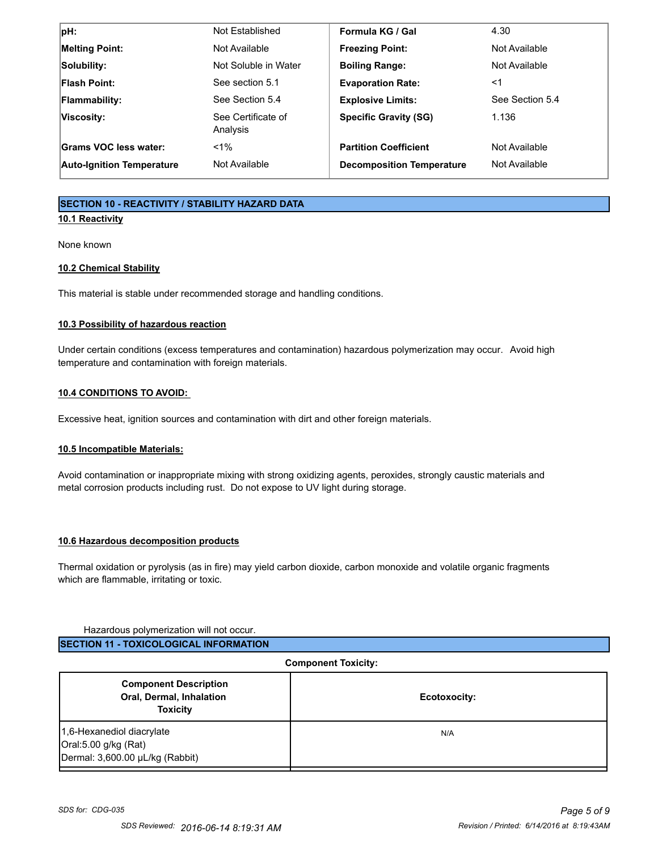| pH:                              | Not Established                | Formula KG / Gal                 | 4.30            |
|----------------------------------|--------------------------------|----------------------------------|-----------------|
| <b>Melting Point:</b>            | Not Available                  | <b>Freezing Point:</b>           | Not Available   |
| Solubility:                      | Not Soluble in Water           | <b>Boiling Range:</b>            | Not Available   |
| <b>Flash Point:</b>              | See section 5.1                | <b>Evaporation Rate:</b>         | <1              |
| Flammability:                    | See Section 5.4                | <b>Explosive Limits:</b>         | See Section 5.4 |
| Viscosity:                       | See Certificate of<br>Analysis | <b>Specific Gravity (SG)</b>     | 1.136           |
| Grams VOC less water:            | $< 1\%$                        | <b>Partition Coefficient</b>     | Not Available   |
| <b>Auto-Ignition Temperature</b> | Not Available                  | <b>Decomposition Temperature</b> | Not Available   |

# **SECTION 10 - REACTIVITY / STABILITY HAZARD DATA**

# **10.1 Reactivity**

None known

# **10.2 Chemical Stability**

This material is stable under recommended storage and handling conditions.

# **10.3 Possibility of hazardous reaction**

Under certain conditions (excess temperatures and contamination) hazardous polymerization may occur. Avoid high temperature and contamination with foreign materials.

# **10.4 CONDITIONS TO AVOID:**

Excessive heat, ignition sources and contamination with dirt and other foreign materials.

# **10.5 Incompatible Materials:**

Avoid contamination or inappropriate mixing with strong oxidizing agents, peroxides, strongly caustic materials and metal corrosion products including rust. Do not expose to UV light during storage.

# **10.6 Hazardous decomposition products**

Thermal oxidation or pyrolysis (as in fire) may yield carbon dioxide, carbon monoxide and volatile organic fragments which are flammable, irritating or toxic.

# Hazardous polymerization will not occur.

| <b>Component Toxicity:</b>                                                           |              |  |
|--------------------------------------------------------------------------------------|--------------|--|
| <b>Component Description</b><br>Oral, Dermal, Inhalation<br><b>Toxicity</b>          | Ecotoxocity: |  |
| 1,6-Hexanediol diacrylate<br>Oral:5.00 g/kg (Rat)<br>Dermal: 3,600.00 µL/kg (Rabbit) | N/A          |  |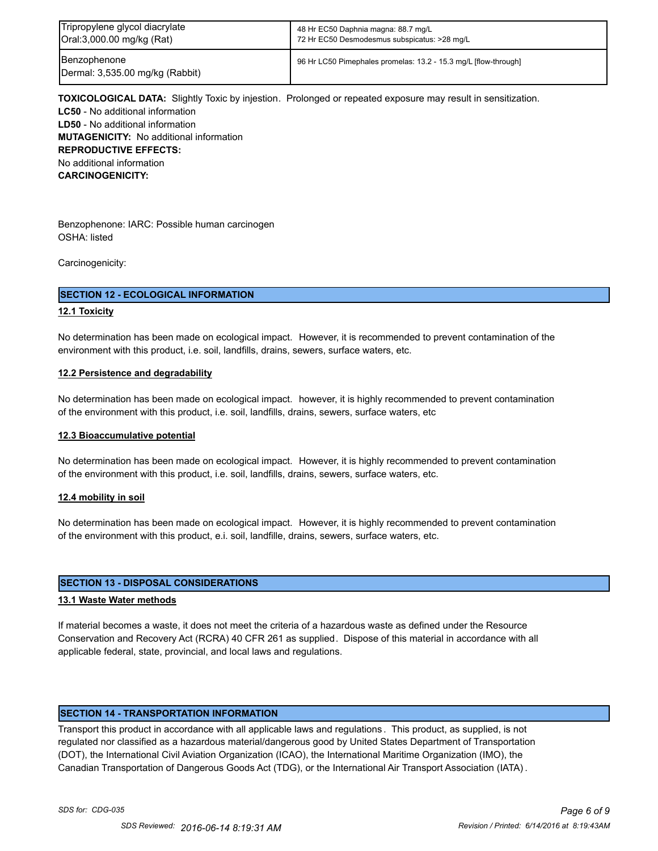| Tripropylene glycol diacrylate                  | 48 Hr EC50 Daphnia magna: 88.7 mg/L                             |
|-------------------------------------------------|-----------------------------------------------------------------|
| Oral:3,000.00 mg/kg (Rat)                       | 72 Hr EC50 Desmodesmus subspicatus: >28 mg/L                    |
| Benzophenone<br>Dermal: 3,535.00 mg/kg (Rabbit) | 96 Hr LC50 Pimephales promelas: 13.2 - 15.3 mg/L [flow-through] |

**TOXICOLOGICAL DATA:** Slightly Toxic by injestion. Prolonged or repeated exposure may result in sensitization. **LC50** - No additional information **LD50** - No additional information **MUTAGENICITY:** No additional information **REPRODUCTIVE EFFECTS:** No additional information **CARCINOGENICITY:**

Benzophenone: IARC: Possible human carcinogen OSHA: listed

Carcinogenicity:

# **SECTION 12 - ECOLOGICAL INFORMATION**

# **12.1 Toxicity**

No determination has been made on ecological impact. However, it is recommended to prevent contamination of the environment with this product, i.e. soil, landfills, drains, sewers, surface waters, etc.

# **12.2 Persistence and degradability**

No determination has been made on ecological impact. however, it is highly recommended to prevent contamination of the environment with this product, i.e. soil, landfills, drains, sewers, surface waters, etc

# **12.3 Bioaccumulative potential**

No determination has been made on ecological impact. However, it is highly recommended to prevent contamination of the environment with this product, i.e. soil, landfills, drains, sewers, surface waters, etc.

# **12.4 mobility in soil**

No determination has been made on ecological impact. However, it is highly recommended to prevent contamination of the environment with this product, e.i. soil, landfille, drains, sewers, surface waters, etc.

# **SECTION 13 - DISPOSAL CONSIDERATIONS**

# **13.1 Waste Water methods**

If material becomes a waste, it does not meet the criteria of a hazardous waste as defined under the Resource Conservation and Recovery Act (RCRA) 40 CFR 261 as supplied. Dispose of this material in accordance with all applicable federal, state, provincial, and local laws and regulations.

# **SECTION 14 - TRANSPORTATION INFORMATION**

Transport this product in accordance with all applicable laws and regulations . This product, as supplied, is not regulated nor classified as a hazardous material/dangerous good by United States Department of Transportation (DOT), the International Civil Aviation Organization (ICAO), the International Maritime Organization (IMO), the Canadian Transportation of Dangerous Goods Act (TDG), or the International Air Transport Association (IATA) .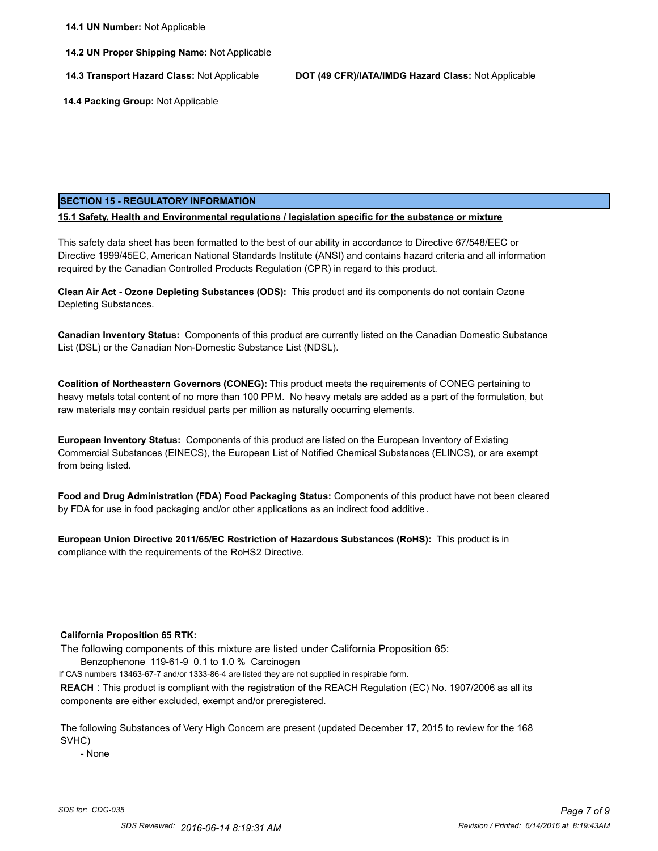**14.2 UN Proper Shipping Name:** Not Applicable

**14.3 Transport Hazard Class:** Not Applicable **DOT (49 CFR)/IATA/IMDG Hazard Class:** Not Applicable

 **14.4 Packing Group:** Not Applicable

# **SECTION 15 - REGULATORY INFORMATION**

**15.1 Safety, Health and Environmental regulations / legislation specific for the substance or mixture**

This safety data sheet has been formatted to the best of our ability in accordance to Directive 67/548/EEC or Directive 1999/45EC, American National Standards Institute (ANSI) and contains hazard criteria and all information required by the Canadian Controlled Products Regulation (CPR) in regard to this product.

**Clean Air Act - Ozone Depleting Substances (ODS):** This product and its components do not contain Ozone Depleting Substances.

**Canadian Inventory Status:** Components of this product are currently listed on the Canadian Domestic Substance List (DSL) or the Canadian Non-Domestic Substance List (NDSL).

**Coalition of Northeastern Governors (CONEG):** This product meets the requirements of CONEG pertaining to heavy metals total content of no more than 100 PPM. No heavy metals are added as a part of the formulation, but raw materials may contain residual parts per million as naturally occurring elements.

**European Inventory Status:** Components of this product are listed on the European Inventory of Existing Commercial Substances (EINECS), the European List of Notified Chemical Substances (ELINCS), or are exempt from being listed.

**Food and Drug Administration (FDA) Food Packaging Status:** Components of this product have not been cleared by FDA for use in food packaging and/or other applications as an indirect food additive .

**European Union Directive 2011/65/EC Restriction of Hazardous Substances (RoHS):** This product is in compliance with the requirements of the RoHS2 Directive.

# **California Proposition 65 RTK:**

The following components of this mixture are listed under California Proposition 65:

Benzophenone 119-61-9 0.1 to 1.0 % Carcinogen

If CAS numbers 13463-67-7 and/or 1333-86-4 are listed they are not supplied in respirable form.

**REACH** : This product is compliant with the registration of the REACH Regulation (EC) No. 1907/2006 as all its components are either excluded, exempt and/or preregistered.

The following Substances of Very High Concern are present (updated December 17, 2015 to review for the 168 SVHC)

- None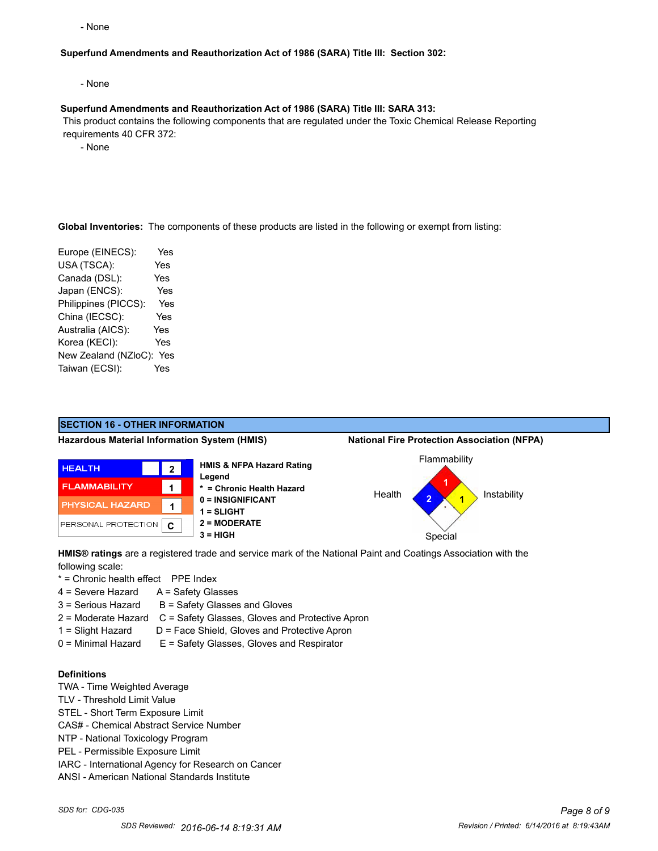- None

# **Superfund Amendments and Reauthorization Act of 1986 (SARA) Title III: Section 302:**

- None

#### **Superfund Amendments and Reauthorization Act of 1986 (SARA) Title III: SARA 313:**

 This product contains the following components that are regulated under the Toxic Chemical Release Reporting requirements 40 CFR 372:

- None

**Global Inventories:** The components of these products are listed in the following or exempt from listing:

Europe (EINECS): Yes USA (TSCA): Yes Canada (DSL): Yes Japan (ENCS): Yes Philippines (PICCS): Yes China (IECSC): Yes Australia (AICS): Yes Korea (KECI): Yes New Zealand (NZloC): Yes Taiwan (ECSI): Yes



**HMIS® ratings** are a registered trade and service mark of the National Paint and Coatings Association with the following scale:

\* = Chronic health effect PPE Index

- 4 = Severe Hazard A = Safety Glasses
- $3 =$  Serious Hazard  $B =$  Safety Glasses and Gloves
- 2 = Moderate Hazard C = Safety Glasses, Gloves and Protective Apron
- 
- 1 = Slight Hazard D = Face Shield, Gloves and Protective Apron 0 = Minimal Hazard E = Safety Glasses, Gloves and Respirator

# **Definitions**

- TWA Time Weighted Average
- TLV Threshold Limit Value
- STEL Short Term Exposure Limit
- CAS# Chemical Abstract Service Number
- NTP National Toxicology Program
- PEL Permissible Exposure Limit
- IARC International Agency for Research on Cancer
- ANSI American National Standards Institute